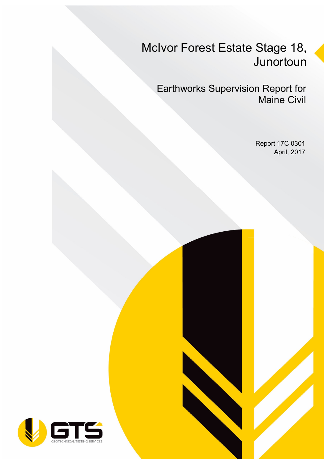## McIvor Forest Estate Stage 18, Junortoun

Earthworks Supervision Report for Maine Civil

> Report 17C 0301 April, 2017

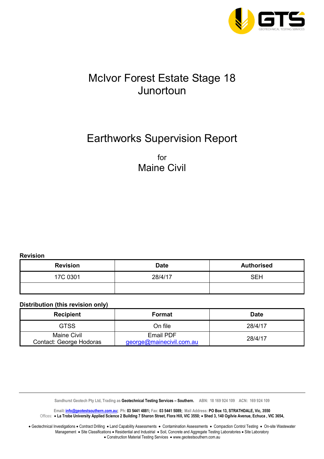

## McIvor Forest Estate Stage 18 Junortoun

## Earthworks Supervision Report

for Maine Civil

**Revision** 

| <b>Revision</b> | <b>Date</b> | <b>Authorised</b> |  |  |
|-----------------|-------------|-------------------|--|--|
| 17C 0301        | 28/4/17     | <b>SEH</b>        |  |  |
|                 |             |                   |  |  |

#### **Distribution (this revision only)**

| <b>Format</b> | <b>Date</b>              |  |  |
|---------------|--------------------------|--|--|
| On file       | 28/4/17                  |  |  |
| Email PDF     | 28/4/17                  |  |  |
|               | george@mainecivil.com.au |  |  |

Sandhurst Geotech Pty Ltd, Trading as Geotechnical Testing Services - Southern. ABN: 18 169 924 109 ACN: 169 924 109

**Email: info@geotestsouthern.com.au; Ph: 03 5441 4881; Fax: 03 5441 5089; Mail Address: PO Box 13, STRATHDALE, Vic, 3550**  Offices:• **La Trobe University Applied Science 2 Building 7 Sharon Street, Flora Hill, VIC 3550;** • **Shed 3, 140 Ogilvie Avenue, Echuca , VIC 3654,** 

• Geotechnical Investigations • Contract Drilling • Land Capability Assessments • Contamination Assessments • Compaction Control Testing • On-site Wastewater Management • Site Classifications • Residential and Industrial • Soil, Concrete and Aggregate Testing Laboratories • Site Laboratory • Construction Material Testing Services • www.geotestsouthern.com.au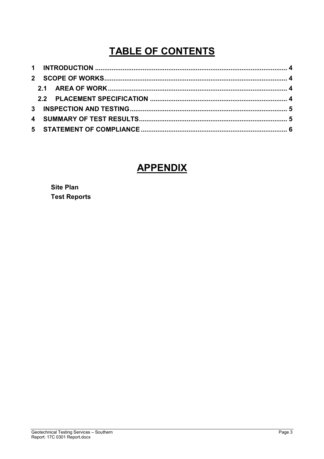## **TABLE OF CONTENTS**

### **APPENDIX**

**Site Plan Test Reports**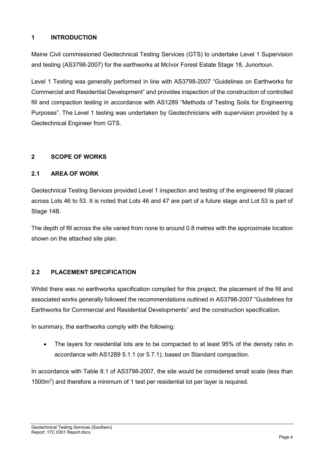#### **1 INTRODUCTION**

Maine Civil commissioned Geotechnical Testing Services (GTS) to undertake Level 1 Supervision and testing (AS3798-2007) for the earthworks at McIvor Forest Estate Stage 18, Junortoun.

Level 1 Testing was generally performed in line with AS3798-2007 "Guidelines on Earthworks for Commercial and Residential Development" and provides inspection of the construction of controlled fill and compaction testing in accordance with AS1289 "Methods of Testing Soils for Engineering Purposes". The Level 1 testing was undertaken by Geotechnicians with supervision provided by a Geotechnical Engineer from GTS.

#### **2 SCOPE OF WORKS**

#### **2.1 AREA OF WORK**

Geotechnical Testing Services provided Level 1 inspection and testing of the engineered fill placed across Lots 46 to 53. It is noted that Lots 46 and 47 are part of a future stage and Lot 53 is part of Stage 14B.

The depth of fill across the site varied from none to around 0.8 metres with the approximate location shown on the attached site plan.

#### **2.2 PLACEMENT SPECIFICATION**

Whilst there was no earthworks specification compiled for this project, the placement of the fill and associated works generally followed the recommendations outlined in AS3798-2007 "Guidelines for Earthworks for Commercial and Residential Developments" and the construction specification.

In summary, the earthworks comply with the following:

The layers for residential lots are to be compacted to at least 95% of the density ratio in accordance with AS1289 5.1.1 (or 5.7.1), based on Standard compaction.

In accordance with Table 8.1 of AS3798-2007, the site would be considered small scale (less than 1500m<sup>2</sup>) and therefore a minimum of 1 test per residential lot per layer is required.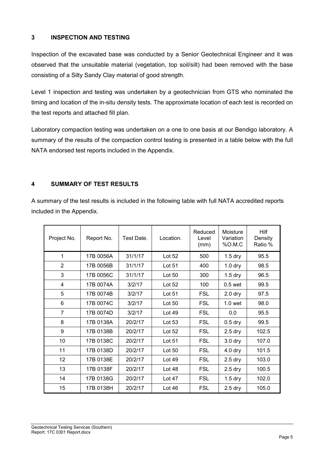#### **3 INSPECTION AND TESTING**

Inspection of the excavated base was conducted by a Senior Geotechnical Engineer and it was observed that the unsuitable material (vegetation, top soil/silt) had been removed with the base consisting of a Silty Sandy Clay material of good strength.

Level 1 inspection and testing was undertaken by a geotechnician from GTS who nominated the timing and location of the in-situ density tests. The approximate location of each test is recorded on the test reports and attached fill plan.

Laboratory compaction testing was undertaken on a one to one basis at our Bendigo laboratory. A summary of the results of the compaction control testing is presented in a table below with the full NATA endorsed test reports included in the Appendix.

#### **4 SUMMARY OF TEST RESULTS**

A summary of the test results is included in the following table with full NATA accredited reports included in the Appendix.

| Project No.    | Report No. | Test Date. | Location. | Reduced<br>Level<br>(mm) | Moisture<br>Variation<br>%0.M.C | Hilf<br>Density<br>Ratio % |
|----------------|------------|------------|-----------|--------------------------|---------------------------------|----------------------------|
| 1              | 17B 0056A  | 31/1/17    | Lot 52    | 500                      | $1.5$ dry                       | 95.5                       |
| $\overline{2}$ | 17B 0056B  | 31/1/17    | Lot 51    | 400                      | $1.0$ dry                       | 98.5                       |
| 3              | 17B 0056C  | 31/1/17    | Lot 50    | 300                      | $1.5$ dry                       | 96.5                       |
| 4              | 17B 0074A  | 3/2/17     | Lot 52    | 100                      | $0.5$ wet                       | 99.5                       |
| 5              | 17B 0074B  | 3/2/17     | Lot 51    | <b>FSL</b>               | $2.0$ dry                       | 97.5                       |
| 6              | 17B 0074C  | 3/2/17     | Lot 50    | <b>FSL</b>               | 1.0 <sub>wet</sub>              | 98.0                       |
| $\overline{7}$ | 17B 0074D  | 3/2/17     | Lot 49    | <b>FSL</b>               | 0.0                             | 95.5                       |
| 8              | 17B 0138A  | 20/2/17    | Lot $53$  | <b>FSL</b>               | $0.5$ dry                       | 99.5                       |
| 9              | 17B 0138B  | 20/2/17    | Lot 52    | <b>FSL</b>               | $2.5$ dry                       | 102.5                      |
| 10             | 17B 0138C  | 20/2/17    | Lot 51    | <b>FSL</b>               | 3.0 dry                         | 107.0                      |
| 11             | 17B 0138D  | 20/2/17    | Lot 50    | <b>FSL</b>               | 4.0 dry                         | 101.5                      |
| 12             | 17B 0138E  | 20/2/17    | Lot 49    | <b>FSL</b>               | $2.5$ dry                       | 103.0                      |
| 13             | 17B 0138F  | 20/2/17    | Lot 48    | <b>FSL</b>               | $2.5$ dry                       | 100.5                      |
| 14             | 17B 0138G  | 20/2/17    | Lot $47$  | <b>FSL</b>               | $1.5$ dry                       | 102.0                      |
| 15             | 17B 0138H  | 20/2/17    | Lot 46    | <b>FSL</b>               | $2.5$ dry                       | 105.0                      |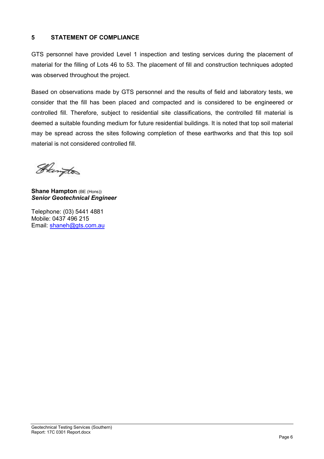#### **5 STATEMENT OF COMPLIANCE**

GTS personnel have provided Level 1 inspection and testing services during the placement of material for the filling of Lots 46 to 53. The placement of fill and construction techniques adopted was observed throughout the project.

Based on observations made by GTS personnel and the results of field and laboratory tests, we consider that the fill has been placed and compacted and is considered to be engineered or controlled fill. Therefore, subject to residential site classifications, the controlled fill material is deemed a suitable founding medium for future residential buildings. It is noted that top soil material may be spread across the sites following completion of these earthworks and that this top soil material is not considered controlled fill.

Heington

**Shane Hampton** (BE (Hons)) *Senior Geotechnical Engineer* 

Telephone: (03) 5441 4881 Mobile: 0437 496 215 Email: shaneh@gts.com.au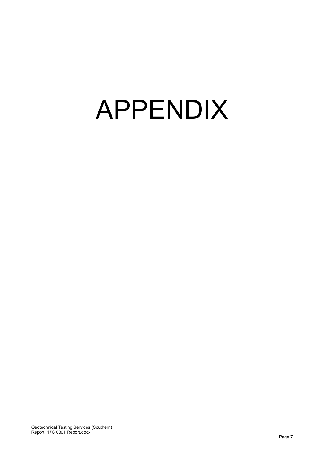# APPENDIX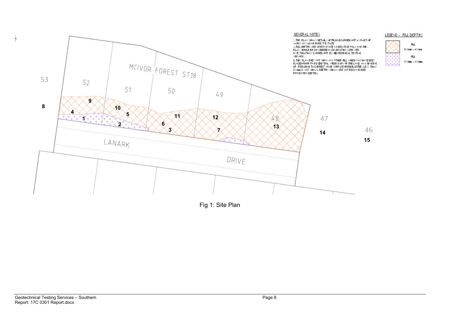

Fig 1: Site Plan

 $^+$ 

FLL.  $300m - 600m$ 

FLL.

mm –  $800$ mm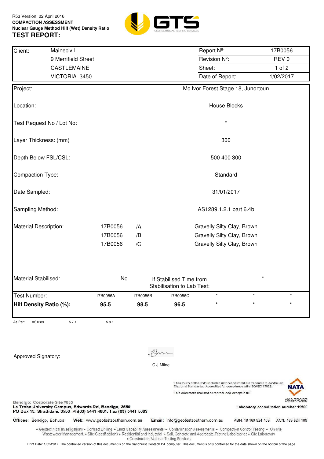

| Mainecivil<br>Client:                                                                                                                                     |                                                                                                                                                                                                                                                                                                       |               |                        |                                          | Report Nº:                                             |                                                                                                                                                      | 17B0056                                                |  |  |
|-----------------------------------------------------------------------------------------------------------------------------------------------------------|-------------------------------------------------------------------------------------------------------------------------------------------------------------------------------------------------------------------------------------------------------------------------------------------------------|---------------|------------------------|------------------------------------------|--------------------------------------------------------|------------------------------------------------------------------------------------------------------------------------------------------------------|--------------------------------------------------------|--|--|
|                                                                                                                                                           | 9 Merrifield Street                                                                                                                                                                                                                                                                                   |               |                        |                                          | Revision Nº:                                           |                                                                                                                                                      | REV <sub>0</sub>                                       |  |  |
|                                                                                                                                                           | CASTLEMAINE                                                                                                                                                                                                                                                                                           |               |                        |                                          | Sheet:                                                 |                                                                                                                                                      | 1 of $2$                                               |  |  |
|                                                                                                                                                           | VICTORIA 3450                                                                                                                                                                                                                                                                                         |               |                        |                                          | Date of Report:                                        |                                                                                                                                                      | 1/02/2017                                              |  |  |
| Project:                                                                                                                                                  |                                                                                                                                                                                                                                                                                                       |               |                        |                                          |                                                        | Mc Ivor Forest Stage 18, Junortoun                                                                                                                   |                                                        |  |  |
| Location:                                                                                                                                                 |                                                                                                                                                                                                                                                                                                       |               |                        |                                          | <b>House Blocks</b>                                    |                                                                                                                                                      |                                                        |  |  |
| Test Request No / Lot No:                                                                                                                                 |                                                                                                                                                                                                                                                                                                       |               |                        |                                          | $\star$                                                |                                                                                                                                                      |                                                        |  |  |
| Layer Thickness: (mm)                                                                                                                                     |                                                                                                                                                                                                                                                                                                       |               |                        |                                          | 300                                                    |                                                                                                                                                      |                                                        |  |  |
| Depth Below FSL/CSL:                                                                                                                                      |                                                                                                                                                                                                                                                                                                       |               |                        |                                          | 500 400 300                                            |                                                                                                                                                      |                                                        |  |  |
| Compaction Type:                                                                                                                                          |                                                                                                                                                                                                                                                                                                       |               |                        |                                          | Standard                                               |                                                                                                                                                      |                                                        |  |  |
| Date Sampled:                                                                                                                                             |                                                                                                                                                                                                                                                                                                       |               |                        |                                          | 31/01/2017                                             |                                                                                                                                                      |                                                        |  |  |
| Sampling Method:                                                                                                                                          |                                                                                                                                                                                                                                                                                                       |               | AS1289.1.2.1 part 6.4b |                                          |                                                        |                                                                                                                                                      |                                                        |  |  |
| Material Description:                                                                                                                                     |                                                                                                                                                                                                                                                                                                       | 17B0056<br>/A |                        |                                          | Gravelly Silty Clay, Brown                             |                                                                                                                                                      |                                                        |  |  |
|                                                                                                                                                           |                                                                                                                                                                                                                                                                                                       | 17B0056<br>/B |                        |                                          | Gravelly Silty Clay, Brown                             |                                                                                                                                                      |                                                        |  |  |
|                                                                                                                                                           |                                                                                                                                                                                                                                                                                                       | 17B0056<br>/C |                        |                                          | Gravelly Silty Clay, Brown                             |                                                                                                                                                      |                                                        |  |  |
| Material Stabilised:                                                                                                                                      |                                                                                                                                                                                                                                                                                                       | No            |                        | If Stabilised Time from                  |                                                        |                                                                                                                                                      |                                                        |  |  |
|                                                                                                                                                           |                                                                                                                                                                                                                                                                                                       |               |                        | Stabilisation to Lab Test:               |                                                        |                                                                                                                                                      |                                                        |  |  |
| Test Number:                                                                                                                                              | 17B0056A                                                                                                                                                                                                                                                                                              |               | 17B0056B               | 17B0056C                                 | $\star$                                                | $\star$                                                                                                                                              |                                                        |  |  |
| Hilf Density Ratio (%):                                                                                                                                   | 95.5                                                                                                                                                                                                                                                                                                  |               | 98.5                   | 96.5                                     | *                                                      |                                                                                                                                                      |                                                        |  |  |
| As Per:<br>AS1289                                                                                                                                         | 5.7.1                                                                                                                                                                                                                                                                                                 | 5.8.1         |                        |                                          |                                                        |                                                                                                                                                      |                                                        |  |  |
|                                                                                                                                                           |                                                                                                                                                                                                                                                                                                       |               |                        |                                          |                                                        |                                                                                                                                                      |                                                        |  |  |
| Approved Signatory:                                                                                                                                       |                                                                                                                                                                                                                                                                                                       |               |                        |                                          |                                                        |                                                                                                                                                      |                                                        |  |  |
|                                                                                                                                                           |                                                                                                                                                                                                                                                                                                       |               | C.J.Milne              |                                          |                                                        |                                                                                                                                                      |                                                        |  |  |
|                                                                                                                                                           |                                                                                                                                                                                                                                                                                                       |               |                        |                                          |                                                        |                                                                                                                                                      |                                                        |  |  |
|                                                                                                                                                           |                                                                                                                                                                                                                                                                                                       |               |                        |                                          | This document shall not be reproduced, except in full. | The results of the tests included in this document are traceable to Australian<br>/National Standards. Accredited for compliance with ISO/IEC 17025. |                                                        |  |  |
| Bendigo: Corporate Site #835<br>La Trobe University Campus, Edwards Rd, Bendigo, 3550<br>PO Box 13, Strathdale, 3550 Ph(03) 5441 4881, Fax (03) 5441 5089 |                                                                                                                                                                                                                                                                                                       |               |                        |                                          |                                                        |                                                                                                                                                      | ACCREDITATION<br>Laboratory accreditation number 19506 |  |  |
| Offices: Bendigo, Echuca                                                                                                                                  | Web: www.geotestsouthern.com.au                                                                                                                                                                                                                                                                       |               |                        | Email: info@geotestsouthern.com.au       |                                                        | ABN: 18 169 924 109                                                                                                                                  | ACN: 169 924 109                                       |  |  |
|                                                                                                                                                           | . Geotechnical Investigations . Contract Drilling . Land Capability Assessments . Contamination Assessments . Compaction Control Testing . On-site<br>Wastewater Management . Site Classifications . Residential and Industrial . Soil, Concrete and Aggregate Testing Laboratories . Site Laboratory |               |                        | · Construction Material Testing Services |                                                        |                                                                                                                                                      |                                                        |  |  |

Print Date: 1/02/2017. The controlled version of this document is on the Sandhurst Geotech P/L computer. This document is only controlled for the date shown on the bottom of the page.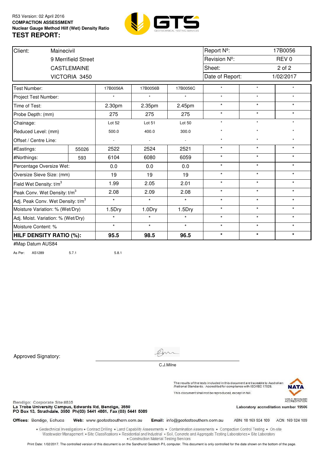

| Client:                                       | Mainecivil          |                          |                          |                | Report Nº:      |         | 17B0056          |  |
|-----------------------------------------------|---------------------|--------------------------|--------------------------|----------------|-----------------|---------|------------------|--|
|                                               | 9 Merrifield Street |                          |                          |                | Revision Nº:    |         | REV <sub>0</sub> |  |
|                                               | <b>CASTLEMAINE</b>  |                          |                          |                | Sheet:          |         | 2 of 2           |  |
|                                               | VICTORIA 3450       |                          |                          |                | Date of Report: |         | 1/02/2017        |  |
| Test Number:                                  |                     | 17B0056A                 | 17B0056B                 | 17B0056C       | $\star$         | $\star$ | $\star$          |  |
| Project Test Number:                          |                     |                          | $\star$                  | $\star$        | $\star$         | $\star$ | $\star$          |  |
| Time of Test:                                 |                     | 2.30pm                   | 2.35pm                   | 2.45pm         | $\star$         | $\star$ | $\star$          |  |
| Probe Depth: (mm)                             |                     | 275                      | 275                      | 275            | $\star$         | $\star$ | $\star$          |  |
| Chainage:                                     |                     | Lot 52                   | Lot 51                   | Lot 50         | $\star$         | $\star$ | $\star$          |  |
| Reduced Level: (mm)                           |                     | 500.0                    | 400.0                    | 300.0          | $\star$         | $\star$ | $\star$          |  |
| Offset / Centre Line:                         |                     | $\overline{\phantom{a}}$ | $\overline{\phantom{a}}$ | $\blacksquare$ | $\star$         | $\star$ | $\star$          |  |
| #Eastings:                                    | 55026               | 2522                     | 2524                     | 2521           | $\star$         | $\star$ | $\star$          |  |
| #Northings:                                   | 593                 | 6104                     | 6080                     | 6059           | $\star$         | $\star$ | $\star$          |  |
| Percentage Oversize Wet:                      |                     | 0.0                      | 0.0                      | 0.0            | $\star$         | $\star$ | $\star$          |  |
| Oversize Sieve Size: (mm)                     |                     | 19                       | 19                       | 19             | $\star$         | $\star$ | $\star$          |  |
| Field Wet Density: t/m <sup>3</sup>           |                     | 1.99                     | 2.05                     | 2.01           | $\star$         | $\star$ | $\star$          |  |
| Peak Conv. Wet Density: t/m <sup>3</sup>      |                     | 2.08                     | 2.09                     | 2.08           | $\star$         | $\star$ | $\star$          |  |
| Adj. Peak Conv. Wet Density: t/m <sup>3</sup> |                     | $\star$                  | $\star$                  | $\star$        | $\star$         | $\star$ | $\star$          |  |
| Moisture Variation: % (Wet/Dry)               |                     | 1.5Dry                   | 1.0Dry                   | 1.5Dry         | $\star$         | $\star$ | $\star$          |  |
| Adj. Moist. Variation: % (Wet/Dry)            |                     | $\star$                  | $\star$                  | $\star$        | $\star$         | $\star$ | $\star$          |  |
| Moisture Content: %                           |                     | $\star$                  | $\star$                  | $\star$        | $\star$         | $\star$ | $\star$          |  |
| <b>HILF DENSITY RATIO (%):</b>                |                     | 95.5                     | 98.5                     | 96.5           | $\star$         | $\star$ | $\star$          |  |

As Per: AS1289 5.7.1 5.8.1

Approved Signatory:



C.J.Milne

The results of the tests included in this document are traceable to Australian<br>/National Standards. Accredited for compliance with ISO/IEC 17025. This document shall not be reproduced, except in full.



WORLD RECOGNISED<br>ACCREDITATION

Bendigo: Corporate Site #835

La Trobe University Campus, Edwards Rd, Bendigo, 3550<br>PO Box 13, Strathdale, 3550 Ph(03) 5441 4881, Fax (03) 5441 5089

Laboratory accreditation number 19506

Offices: Bendigo, Echuca Web: www.geotestsouthern.com.au Email: info@geotestsouthern.com.au

ABN: 18 169 924 109 ACN: 169 924 109

. Geotechnical Investigations . Contract Drilling . Land Capability Assessments . Contamination Assessments . Compaction Control Testing . On-site Wastewater Management . Site Classifications . Residential and Industrial . Soil, Concrete and Aggregate Testing Laboratories . Site Laboratory · Construction Material Testing Services

Print Date: 1/02/2017. The controlled version of this document is on the Sandhurst Geotech P/L computer. This document is only controlled for the date shown on the bottom of the page.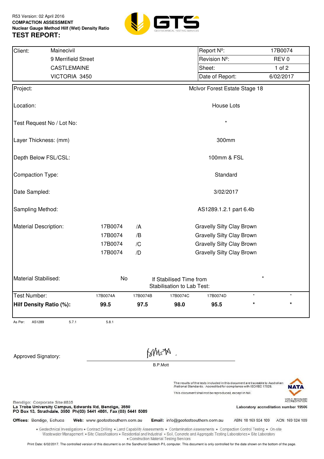

| Client:                      | Mainecivil                                                                                                                                                                                                                                                                                            |                                 |                                          |                                    | Report Nº:                                                                                                                                                                                                     |                     | 17B0074                                                                    |
|------------------------------|-------------------------------------------------------------------------------------------------------------------------------------------------------------------------------------------------------------------------------------------------------------------------------------------------------|---------------------------------|------------------------------------------|------------------------------------|----------------------------------------------------------------------------------------------------------------------------------------------------------------------------------------------------------------|---------------------|----------------------------------------------------------------------------|
|                              | 9 Merrifield Street                                                                                                                                                                                                                                                                                   |                                 |                                          |                                    | Revision Nº:                                                                                                                                                                                                   |                     | REV <sub>0</sub>                                                           |
|                              | <b>CASTLEMAINE</b>                                                                                                                                                                                                                                                                                    |                                 |                                          |                                    | Sheet:                                                                                                                                                                                                         |                     | $1$ of $2$                                                                 |
|                              | VICTORIA 3450                                                                                                                                                                                                                                                                                         |                                 |                                          |                                    | Date of Report:                                                                                                                                                                                                |                     | 6/02/2017                                                                  |
| Project:                     |                                                                                                                                                                                                                                                                                                       |                                 |                                          |                                    | McIvor Forest Estate Stage 18                                                                                                                                                                                  |                     |                                                                            |
| Location:                    |                                                                                                                                                                                                                                                                                                       |                                 |                                          |                                    | House Lots                                                                                                                                                                                                     |                     |                                                                            |
| Test Request No / Lot No:    |                                                                                                                                                                                                                                                                                                       |                                 |                                          |                                    |                                                                                                                                                                                                                |                     |                                                                            |
| Layer Thickness: (mm)        |                                                                                                                                                                                                                                                                                                       |                                 |                                          |                                    | 300mm                                                                                                                                                                                                          |                     |                                                                            |
| Depth Below FSL/CSL:         |                                                                                                                                                                                                                                                                                                       |                                 |                                          |                                    | 100mm & FSL                                                                                                                                                                                                    |                     |                                                                            |
| Compaction Type:             |                                                                                                                                                                                                                                                                                                       |                                 |                                          |                                    | Standard                                                                                                                                                                                                       |                     |                                                                            |
| Date Sampled:                |                                                                                                                                                                                                                                                                                                       |                                 |                                          |                                    | 3/02/2017                                                                                                                                                                                                      |                     |                                                                            |
| Sampling Method:             |                                                                                                                                                                                                                                                                                                       |                                 |                                          |                                    | AS1289.1.2.1 part 6.4b                                                                                                                                                                                         |                     |                                                                            |
| <b>Material Description:</b> |                                                                                                                                                                                                                                                                                                       | 17B0074                         | /A                                       |                                    | <b>Gravelly Silty Clay Brown</b>                                                                                                                                                                               |                     |                                                                            |
|                              |                                                                                                                                                                                                                                                                                                       | 17B0074                         | /B                                       |                                    | <b>Gravelly Silty Clay Brown</b>                                                                                                                                                                               |                     |                                                                            |
|                              |                                                                                                                                                                                                                                                                                                       | 17B0074                         | /C                                       |                                    | <b>Gravelly Silty Clay Brown</b>                                                                                                                                                                               |                     |                                                                            |
|                              |                                                                                                                                                                                                                                                                                                       | 17B0074                         | /D                                       |                                    | <b>Gravelly Silty Clay Brown</b>                                                                                                                                                                               |                     |                                                                            |
| Material Stabilised:         |                                                                                                                                                                                                                                                                                                       | No                              |                                          | If Stabilised Time from            |                                                                                                                                                                                                                | $^\star$            |                                                                            |
|                              |                                                                                                                                                                                                                                                                                                       |                                 |                                          | Stabilisation to Lab Test:         |                                                                                                                                                                                                                |                     |                                                                            |
| Test Number:                 |                                                                                                                                                                                                                                                                                                       | 17B0074A                        | 17B0074B                                 | 17B0074C                           | 17B0074D                                                                                                                                                                                                       |                     |                                                                            |
| Hilf Density Ratio (%):      |                                                                                                                                                                                                                                                                                                       | 99.5                            | 97.5                                     | 98.0                               | 95.5                                                                                                                                                                                                           |                     |                                                                            |
| As Per:<br>AS1289            | 5.7.1                                                                                                                                                                                                                                                                                                 | 5.8.1                           |                                          |                                    |                                                                                                                                                                                                                |                     |                                                                            |
|                              |                                                                                                                                                                                                                                                                                                       |                                 |                                          |                                    |                                                                                                                                                                                                                |                     |                                                                            |
| Approved Signatory:          |                                                                                                                                                                                                                                                                                                       |                                 | MWSM<br><b>B.P.Mott</b>                  |                                    |                                                                                                                                                                                                                |                     |                                                                            |
|                              |                                                                                                                                                                                                                                                                                                       |                                 |                                          |                                    |                                                                                                                                                                                                                |                     |                                                                            |
|                              |                                                                                                                                                                                                                                                                                                       |                                 |                                          |                                    | The results of the tests included in this document are traceable to Australian<br>/National Standards. Accredited for compliance with ISO/IEC 17025.<br>This document shall not be reproduced, except in full. |                     | NAT                                                                        |
| Bendigo: Corporate Site #835 | La Trobe University Campus, Edwards Rd, Bendigo, 3550<br>PO Box 13, Strathdale, 3550 Ph(03) 5441 4881, Fax (03) 5441 5089                                                                                                                                                                             |                                 |                                          |                                    |                                                                                                                                                                                                                |                     | WORLD RECOGNISED<br>ACCREDITATION<br>Laboratory accreditation number 19506 |
| Offices: Bendigo, Echuca     |                                                                                                                                                                                                                                                                                                       | Web: www.geotestsouthern.com.au |                                          | Email: info@geotestsouthern.com.au |                                                                                                                                                                                                                | ABN: 18 169 924 109 | ACN: 169 924 109                                                           |
|                              | . Geotechnical Investigations . Contract Drilling . Land Capability Assessments . Contamination Assessments . Compaction Control Testing . On-site<br>Wastewater Management • Site Classifications • Residential and Industrial • Soil, Concrete and Aggregate Testing Laboratories • Site Laboratory |                                 |                                          |                                    |                                                                                                                                                                                                                |                     |                                                                            |
|                              | Print Date: 6/02/2017. The controlled version of this document is on the Sandhurst Geotech P/L computer. This document is only controlled for the date shown on the bottom of the page.                                                                                                               |                                 | • Construction Material Testing Services |                                    |                                                                                                                                                                                                                |                     |                                                                            |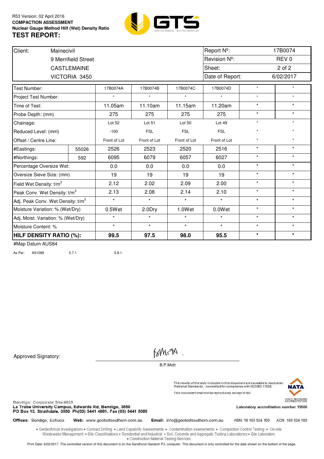

| Client:<br>Mainecivil                         |                     |              |              | Report Nº:   |                 |         | 17B0074          |  |  |
|-----------------------------------------------|---------------------|--------------|--------------|--------------|-----------------|---------|------------------|--|--|
|                                               | 9 Merrifield Street |              |              |              | Revision Nº:    |         | REV <sub>0</sub> |  |  |
|                                               | <b>CASTLEMAINE</b>  |              |              |              | Sheet:          | 2 of 2  |                  |  |  |
|                                               | VICTORIA 3450       |              |              |              | Date of Report: |         | 6/02/2017        |  |  |
| Test Number:                                  |                     | 17B0074A     | 17B0074B     | 17B0074C     | 17B0074D        | $\star$ | $\star$          |  |  |
| Project Test Number:                          |                     |              | $\star$      | ÷            | $\star$         | $\star$ | $\star$          |  |  |
| Time of Test:                                 |                     | 11.05am      | 11.10am      | 11.15am      | 11.20am         | $\star$ | $\star$          |  |  |
| Probe Depth: (mm)                             |                     | 275          | 275          | 275          | 275             | $\star$ | $\star$          |  |  |
| Chainage:                                     |                     | Lot 52       | Lot 51       | Lot 50       | Lot 49          | $\star$ | $\star$          |  |  |
| Reduced Level: (mm)                           |                     | $-100$       | <b>FSL</b>   | <b>FSL</b>   | <b>FSL</b>      | $\star$ | $\star$          |  |  |
| Offset / Centre Line:                         |                     | Front of Lot | Front of Lot | Front of Lot | Front of Lot    | $\star$ | $\star$          |  |  |
| #Eastings:                                    | 55026               | 2526         | 2523         | 2520         | 2516            | $\star$ | $\star$          |  |  |
| #Northings:                                   | 592                 | 6095         | 6079         | 6057         | 6027            | $\star$ | $\star$          |  |  |
| Percentage Oversize Wet:                      |                     | 0.0          | 0.0          | 0.0          | 0.0             | $\star$ | $\star$          |  |  |
| Oversize Sieve Size: (mm)                     |                     | 19           | 19           | 19           | 19              | $\star$ | $\star$          |  |  |
| Field Wet Density: t/m <sup>3</sup>           |                     | 2.12         | 2.02         | 2.09         | 2.00            | $\star$ | $\star$          |  |  |
| Peak Conv. Wet Density: t/m <sup>3</sup>      |                     | 2.13         | 2.08         | 2.14         | 2.10            | $\star$ | $\star$          |  |  |
| Adj. Peak Conv. Wet Density: t/m <sup>3</sup> |                     | $\star$      | $\star$      | $\star$      | $\star$         | $\star$ | $\star$          |  |  |
| Moisture Variation: % (Wet/Dry)               |                     | 0.5Wet       | 2.0Dry       | 1.0Wet       | 0.0Wet          | $\star$ | $\star$          |  |  |
| Adj. Moist. Variation: % (Wet/Dry)            |                     | $\star$      | $\star$      | $\star$      | $\star$         | $\star$ | $\star$          |  |  |
| Moisture Content: %                           |                     | $\star$      | $\star$      | $\star$      | $\star$         | $\star$ | $\star$          |  |  |
| <b>HILF DENSITY RATIO (%):</b>                |                     | 99.5         | 97.5         | 98.0         | 95.5            | $\star$ | $\star$          |  |  |

As Per: AS1289 5.7.1 5.8.1

Approved Signatory:

Bendigo: Corporate Site #835

Offices: Bendigo, Echuca

BM=M

B.P.Mott

The results of the tests included in this document are traceable to Australian<br>/National Standards. Accredited for compliance with ISO/IEC 17025. This document shall not be reproduced, except in full.



Laboratory accreditation number 19506

La Trobe University Campus, Edwards Rd, Bendigo, 3550<br>PO Box 13, Strathdale, 3550 Ph(03) 5441 4881, Fax (03) 5441 5089

Web: www.geotestsouthern.com.au

Email: info@geotestsouthern.com.au

ABN: 18 169 924 109 ACN: 169 924 109

. Geotechnical Investigations . Contract Drilling . Land Capability Assessments . Contamination Assessments . Compaction Control Testing . On-site Wastewater Management . Site Classifications . Residential and Industrial . Soil, Concrete and Aggregate Testing Laboratories . Site Laboratory · Construction Material Testing Services

Print Date: 6/02/2017. The controlled version of this document is on the Sandhurst Geotech P/L computer. This document is only controlled for the date shown on the bottom of the page.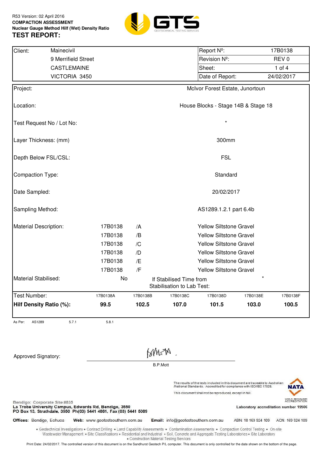

| Client:                      | Mainecivil                                                                                                                                                                                                                                                                                            |                                 |                        |                 |                                                       | Report Nº:                                                                                                                   |                     | 17B0138                               |  |
|------------------------------|-------------------------------------------------------------------------------------------------------------------------------------------------------------------------------------------------------------------------------------------------------------------------------------------------------|---------------------------------|------------------------|-----------------|-------------------------------------------------------|------------------------------------------------------------------------------------------------------------------------------|---------------------|---------------------------------------|--|
|                              | 9 Merrifield Street                                                                                                                                                                                                                                                                                   |                                 |                        |                 |                                                       | Revision Nº:                                                                                                                 |                     | REV <sub>0</sub>                      |  |
|                              | <b>CASTLEMAINE</b>                                                                                                                                                                                                                                                                                    |                                 |                        |                 |                                                       | Sheet:                                                                                                                       |                     | 1 of $4$                              |  |
|                              | VICTORIA 3450                                                                                                                                                                                                                                                                                         |                                 |                        |                 |                                                       | Date of Report:                                                                                                              |                     | 24/02/2017                            |  |
| Project:                     |                                                                                                                                                                                                                                                                                                       |                                 |                        |                 |                                                       | McIvor Forest Estate, Junortoun                                                                                              |                     |                                       |  |
| Location:                    |                                                                                                                                                                                                                                                                                                       |                                 |                        |                 |                                                       | House Blocks - Stage 14B & Stage 18                                                                                          |                     |                                       |  |
|                              | Test Request No / Lot No:                                                                                                                                                                                                                                                                             |                                 |                        |                 |                                                       | $\star$                                                                                                                      |                     |                                       |  |
| Layer Thickness: (mm)        |                                                                                                                                                                                                                                                                                                       |                                 |                        |                 |                                                       | 300mm                                                                                                                        |                     |                                       |  |
| Depth Below FSL/CSL:         |                                                                                                                                                                                                                                                                                                       |                                 |                        |                 |                                                       | <b>FSL</b>                                                                                                                   |                     |                                       |  |
| Compaction Type:             |                                                                                                                                                                                                                                                                                                       |                                 |                        |                 |                                                       | Standard                                                                                                                     |                     |                                       |  |
| Date Sampled:                |                                                                                                                                                                                                                                                                                                       |                                 |                        |                 |                                                       | 20/02/2017                                                                                                                   |                     |                                       |  |
| Sampling Method:             |                                                                                                                                                                                                                                                                                                       |                                 | AS1289.1.2.1 part 6.4b |                 |                                                       |                                                                                                                              |                     |                                       |  |
| Material Description:        |                                                                                                                                                                                                                                                                                                       | 17B0138                         | /A                     |                 | <b>Yellow Siltstone Gravel</b>                        |                                                                                                                              |                     |                                       |  |
|                              |                                                                                                                                                                                                                                                                                                       | 17B0138                         | /B                     |                 |                                                       | <b>Yellow Siltstone Gravel</b>                                                                                               |                     |                                       |  |
|                              |                                                                                                                                                                                                                                                                                                       | 17B0138                         | /C                     |                 |                                                       | <b>Yellow Siltstone Gravel</b>                                                                                               |                     |                                       |  |
|                              |                                                                                                                                                                                                                                                                                                       | 17B0138                         | /D                     |                 |                                                       | <b>Yellow Siltstone Gravel</b>                                                                                               |                     |                                       |  |
|                              |                                                                                                                                                                                                                                                                                                       | 17B0138                         | /E                     |                 | Yellow Siltstone Gravel                               |                                                                                                                              |                     |                                       |  |
|                              |                                                                                                                                                                                                                                                                                                       | 17B0138                         | /F                     |                 |                                                       | <b>Yellow Siltstone Gravel</b>                                                                                               |                     |                                       |  |
| Material Stabilised:         |                                                                                                                                                                                                                                                                                                       | No                              |                        |                 | If Stabilised Time from<br>Stabilisation to Lab Test: |                                                                                                                              |                     |                                       |  |
| Test Number:                 |                                                                                                                                                                                                                                                                                                       | 17B0138A                        | 17B0138B               |                 | 17B0138C                                              | 17B0138D                                                                                                                     | 17B0138E            | 17B0138F                              |  |
| Hilf Density Ratio (%):      |                                                                                                                                                                                                                                                                                                       | 99.5                            | 102.5                  |                 | 107.0                                                 | 101.5                                                                                                                        | 103.0               | 100.5                                 |  |
| AS1289<br>As Per:            | 5.7.1                                                                                                                                                                                                                                                                                                 | 5.8.1                           |                        |                 |                                                       |                                                                                                                              |                     |                                       |  |
|                              |                                                                                                                                                                                                                                                                                                       |                                 |                        |                 |                                                       |                                                                                                                              |                     |                                       |  |
| Approved Signatory:          |                                                                                                                                                                                                                                                                                                       |                                 |                        | MYMSA           |                                                       |                                                                                                                              |                     |                                       |  |
|                              |                                                                                                                                                                                                                                                                                                       |                                 |                        | <b>B.P.Mott</b> |                                                       |                                                                                                                              |                     |                                       |  |
|                              |                                                                                                                                                                                                                                                                                                       |                                 |                        |                 |                                                       | The results of the tests included in this document are traceable to Australian                                               |                     |                                       |  |
|                              |                                                                                                                                                                                                                                                                                                       |                                 |                        |                 |                                                       | /National Standards. Accredited for compliance with ISO/IEC 17025.<br>This document shall not be reproduced, except in full. |                     |                                       |  |
| Bendigo: Corporate Site #835 | La Trobe University Campus, Edwards Rd, Bendigo, 3550<br>PO Box 13, Strathdale, 3550 Ph(03) 5441 4881, Fax (03) 5441 5089                                                                                                                                                                             |                                 |                        |                 |                                                       |                                                                                                                              |                     | Laboratory accreditation number 19506 |  |
| Offices: Bendigo, Echuca     |                                                                                                                                                                                                                                                                                                       | Web: www.geotestsouthern.com.au |                        |                 | Email: info@geotestsouthern.com.au                    |                                                                                                                              | ABN: 18 169 924 109 | ACN: 169 924 109                      |  |
|                              | . Geotechnical Investigations . Contract Drilling . Land Capability Assessments . Contamination Assessments . Compaction Control Testing . On-site<br>Wastewater Management . Site Classifications . Residential and Industrial . Soil, Concrete and Aggregate Testing Laboratories . Site Laboratory |                                 |                        |                 | · Construction Material Testing Services              |                                                                                                                              |                     |                                       |  |

Print Date: 24/02/2017. The controlled version of this document is on the Sandhurst Geotech P/L computer. This document is only controlled for the date shown on the bottom of the page.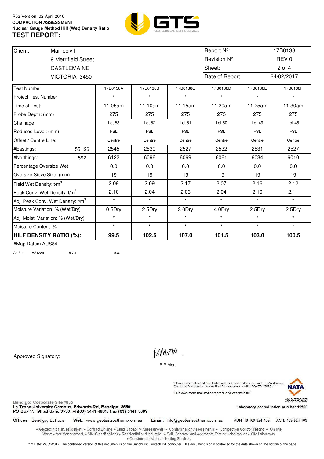

| Client:                                       | Mainecivil |                     |            |            |                  | Report Nº:      |            | 17B0138          |
|-----------------------------------------------|------------|---------------------|------------|------------|------------------|-----------------|------------|------------------|
|                                               |            | 9 Merrifield Street |            |            |                  | Revision Nº:    |            | REV <sub>0</sub> |
|                                               |            | <b>CASTLEMAINE</b>  |            |            |                  | Sheet:          |            | $2$ of $4$       |
|                                               |            | VICTORIA 3450       |            |            |                  | Date of Report: |            | 24/02/2017       |
| Test Number:                                  |            |                     | 17B0138A   | 17B0138B   | 17B0138C         | 17B0138D        | 17B0138E   | 17B0138F         |
| Project Test Number:                          |            |                     |            |            |                  | $\star$         |            | $\star$          |
| Time of Test:                                 |            |                     | 11.05am    | 11.10am    | 11.15am          | 11.20am         | 11.25am    | 11.30am          |
| Probe Depth: (mm)                             |            |                     | 275        | 275        | 275              | 275             | 275        | 275              |
| Chainage:                                     |            |                     | Lot 53     | Lot 52     | Lot 51           | Lot 50          | Lot 49     | Lot 48           |
| Reduced Level: (mm)                           |            |                     | <b>FSL</b> | <b>FSL</b> | <b>FSL</b>       | <b>FSL</b>      | <b>FSL</b> | <b>FSL</b>       |
| Offset / Centre Line:                         |            |                     | Centre     | Centre     | Centre<br>Centre |                 | Centre     | Centre           |
| #Eastings:                                    |            | 55H26               | 2545       | 2530       | 2527             | 2532            | 2531       | 2527             |
| #Northings:                                   |            | 592                 | 6122       | 6096       | 6069             | 6061            | 6034       | 6010             |
| Percentage Oversize Wet:                      |            |                     | 0.0        | 0.0        | 0.0              | 0.0             | 0.0        | 0.0              |
| Oversize Sieve Size: (mm)                     |            |                     | 19         | 19         | 19               | 19              | 19         | 19               |
| Field Wet Density: t/m <sup>3</sup>           |            |                     | 2.09       | 2.09       | 2.17             | 2.07            | 2.16       | 2.12             |
| Peak Conv. Wet Density: t/m <sup>3</sup>      |            |                     | 2.10       | 2.04       | 2.03             | 2.04            | 2.10       | 2.11             |
| Adj. Peak Conv. Wet Density: t/m <sup>3</sup> |            |                     | $\star$    | $\star$    | $\star$          | $\star$         | $\star$    | $\star$          |
| Moisture Variation: % (Wet/Dry)               |            |                     | 0.5Dry     | 2.5Dry     | 3.0Dry           | 4.0Dry          | 2.5Dry     | 2.5Dry           |
| Adj. Moist. Variation: % (Wet/Dry)            |            |                     | $\star$    | $\star$    | $\star$          | $\star$         | $\star$    | $\star$          |
| Moisture Content: %                           |            |                     | $\star$    | $\star$    | $\star$          | $\star$         | $\star$    | $\star$          |
| <b>HILF DENSITY RATIO (%):</b>                |            |                     | 99.5       | 102.5      | 107.0            | 101.5           | 103.0      | 100.5            |
| $HML = D - L = M I O Q A$                     |            |                     |            |            |                  |                 |            |                  |

As Per: AS1289 5.7.1 5.8.1

Approved Signatory:

Bendigo: Corporate Site #835

Offices: Bendigo, Echuca

BM=M

B.P.Mott

The results of the tests included in this document are traceable to Australian<br>/National Standards. Accredited for compliance with ISO/IEC 17025. This document shall not be reproduced, except in full.



Web: www.geotestsouthern.com.au

Email: info@geotestsouthern.com.au

ABN: 18 169 924 109 ACN: 169 924 109

Laboratory accreditation number 19506

. Geotechnical Investigations . Contract Drilling . Land Capability Assessments . Contamination Assessments . Compaction Control Testing . On-site Wastewater Management . Site Classifications . Residential and Industrial . Soil, Concrete and Aggregate Testing Laboratories . Site Laboratory · Construction Material Testing Services

Print Date: 24/02/2017. The controlled version of this document is on the Sandhurst Geotech P/L computer. This document is only controlled for the date shown on the bottom of the page.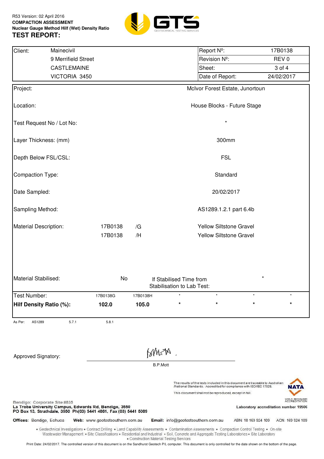

| Client:                      | Mainecivil                                                                                                                                                                                                                                                                                            |                                 |                               |                 |                                                              | Report Nº:                                                                                                                                                                                                     |                                       | 17B0138          |                  |  |
|------------------------------|-------------------------------------------------------------------------------------------------------------------------------------------------------------------------------------------------------------------------------------------------------------------------------------------------------|---------------------------------|-------------------------------|-----------------|--------------------------------------------------------------|----------------------------------------------------------------------------------------------------------------------------------------------------------------------------------------------------------------|---------------------------------------|------------------|------------------|--|
|                              | 9 Merrifield Street                                                                                                                                                                                                                                                                                   |                                 |                               |                 |                                                              | Revision Nº:                                                                                                                                                                                                   |                                       | REV <sub>0</sub> |                  |  |
|                              | CASTLEMAINE                                                                                                                                                                                                                                                                                           |                                 |                               |                 |                                                              | Sheet:                                                                                                                                                                                                         |                                       | 3 of 4           |                  |  |
|                              | VICTORIA 3450                                                                                                                                                                                                                                                                                         |                                 |                               |                 |                                                              | Date of Report:                                                                                                                                                                                                |                                       | 24/02/2017       |                  |  |
| Project:                     |                                                                                                                                                                                                                                                                                                       |                                 |                               |                 |                                                              | McIvor Forest Estate, Junortoun                                                                                                                                                                                |                                       |                  |                  |  |
| Location:                    |                                                                                                                                                                                                                                                                                                       |                                 |                               |                 |                                                              | House Blocks - Future Stage                                                                                                                                                                                    |                                       |                  |                  |  |
| Test Request No / Lot No:    |                                                                                                                                                                                                                                                                                                       |                                 |                               |                 |                                                              | $\star$                                                                                                                                                                                                        |                                       |                  |                  |  |
| Layer Thickness: (mm)        |                                                                                                                                                                                                                                                                                                       |                                 |                               |                 |                                                              | 300mm                                                                                                                                                                                                          |                                       |                  |                  |  |
| Depth Below FSL/CSL:         |                                                                                                                                                                                                                                                                                                       |                                 |                               |                 |                                                              | <b>FSL</b>                                                                                                                                                                                                     |                                       |                  |                  |  |
| Compaction Type:             |                                                                                                                                                                                                                                                                                                       |                                 |                               |                 |                                                              | Standard                                                                                                                                                                                                       |                                       |                  |                  |  |
| Date Sampled:                |                                                                                                                                                                                                                                                                                                       |                                 |                               |                 |                                                              | 20/02/2017                                                                                                                                                                                                     |                                       |                  |                  |  |
| Sampling Method:             |                                                                                                                                                                                                                                                                                                       |                                 | AS1289.1.2.1 part 6.4b        |                 |                                                              |                                                                                                                                                                                                                |                                       |                  |                  |  |
|                              | Material Description:<br>17B0138<br>/G                                                                                                                                                                                                                                                                |                                 |                               |                 |                                                              | <b>Yellow Siltstone Gravel</b>                                                                                                                                                                                 |                                       |                  |                  |  |
|                              |                                                                                                                                                                                                                                                                                                       | 17B0138                         | Yellow Siltstone Gravel<br>/H |                 |                                                              |                                                                                                                                                                                                                |                                       |                  |                  |  |
| Material Stabilised:         |                                                                                                                                                                                                                                                                                                       | No                              |                               |                 | If Stabilised Time from<br><b>Stabilisation to Lab Test:</b> |                                                                                                                                                                                                                |                                       |                  |                  |  |
| Test Number:                 |                                                                                                                                                                                                                                                                                                       | 17B0138G                        | 17B0138H                      |                 |                                                              |                                                                                                                                                                                                                |                                       |                  |                  |  |
| Hilf Density Ratio (%):      |                                                                                                                                                                                                                                                                                                       | 102.0                           | 105.0                         |                 | $\star$                                                      | $\star$                                                                                                                                                                                                        | $\star$                               |                  | $\star$          |  |
| As Per:<br>AS1289            | 5.7.1                                                                                                                                                                                                                                                                                                 | 5.8.1                           |                               |                 |                                                              |                                                                                                                                                                                                                |                                       |                  |                  |  |
| Approved Signatory:          |                                                                                                                                                                                                                                                                                                       |                                 |                               | MYMSA           |                                                              |                                                                                                                                                                                                                |                                       |                  |                  |  |
|                              |                                                                                                                                                                                                                                                                                                       |                                 |                               | <b>B.P.Mott</b> |                                                              |                                                                                                                                                                                                                |                                       |                  |                  |  |
|                              |                                                                                                                                                                                                                                                                                                       |                                 |                               |                 |                                                              | The results of the tests included in this document are traceable to Australian<br>/National Standards. Accredited for compliance with ISO/IEC 17025.<br>This document shall not be reproduced, except in full. |                                       |                  |                  |  |
| Bendigo: Corporate Site #835 | La Trobe University Campus, Edwards Rd, Bendigo, 3550<br>PO Box 13, Strathdale, 3550 Ph(03) 5441 4881, Fax (03) 5441 5089                                                                                                                                                                             |                                 |                               |                 |                                                              |                                                                                                                                                                                                                | Laboratory accreditation number 19506 |                  |                  |  |
| Offices: Bendigo, Echuca     |                                                                                                                                                                                                                                                                                                       | Web: www.geotestsouthern.com.au |                               |                 |                                                              | Email: info@geotestsouthern.com.au                                                                                                                                                                             | ABN: 18 169 924 109                   |                  | ACN: 169 924 109 |  |
|                              | . Geotechnical Investigations . Contract Drilling . Land Capability Assessments . Contamination Assessments . Compaction Control Testing . On-site<br>Wastewater Management . Site Classifications . Residential and Industrial . Soil, Concrete and Aggregate Testing Laboratories . Site Laboratory |                                 |                               |                 | • Construction Material Testing Services                     |                                                                                                                                                                                                                |                                       |                  |                  |  |
|                              | Print Date: 24/02/2017. The controlled version of this document is on the Sandhurst Geotech P/L computer. This document is only controlled for the date shown on the bottom of the page.                                                                                                              |                                 |                               |                 |                                                              |                                                                                                                                                                                                                |                                       |                  |                  |  |